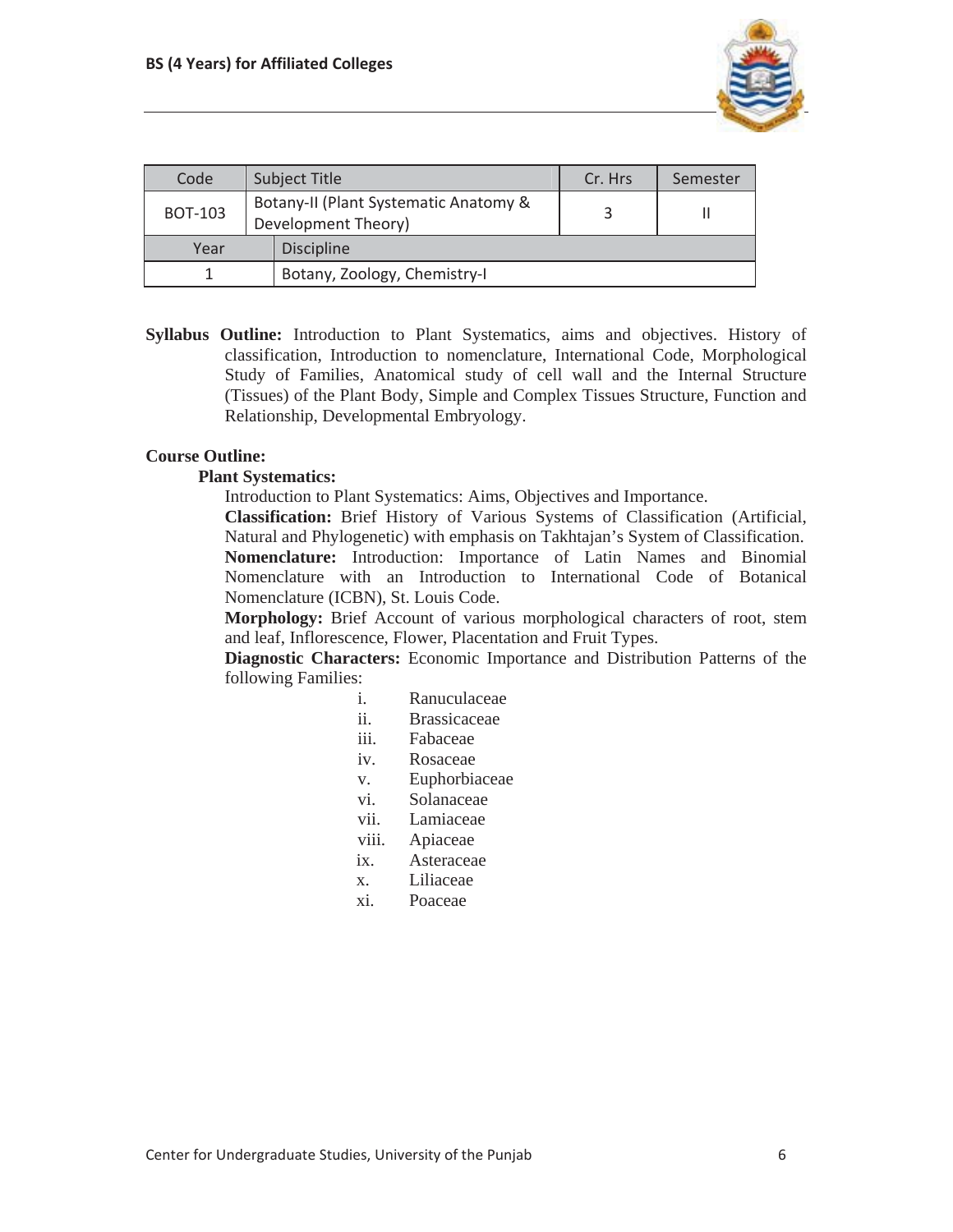

| Code           | <b>Subject Title</b>                                         | Cr. Hrs | Semester |
|----------------|--------------------------------------------------------------|---------|----------|
| <b>BOT-103</b> | Botany-II (Plant Systematic Anatomy &<br>Development Theory) |         |          |
| Year           | <b>Discipline</b>                                            |         |          |
|                | Botany, Zoology, Chemistry-I                                 |         |          |

**Syllabus Outline:** Introduction to Plant Systematics, aims and objectives. History of classification, Introduction to nomenclature, International Code, Morphological Study of Families, Anatomical study of cell wall and the Internal Structure (Tissues) of the Plant Body, Simple and Complex Tissues Structure, Function and Relationship, Developmental Embryology.

## **Course Outline:**

### **Plant Systematics:**

Introduction to Plant Systematics: Aims, Objectives and Importance.

**Classification:** Brief History of Various Systems of Classification (Artificial, Natural and Phylogenetic) with emphasis on Takhtajan's System of Classification. **Nomenclature:** Introduction: Importance of Latin Names and Binomial Nomenclature with an Introduction to International Code of Botanical Nomenclature (ICBN), St. Louis Code.

**Morphology:** Brief Account of various morphological characters of root, stem and leaf, Inflorescence, Flower, Placentation and Fruit Types.

**Diagnostic Characters:** Economic Importance and Distribution Patterns of the following Families:

- i. Ranuculaceae
- ii. Brassicaceae
- iii. Fabaceae
- iv. Rosaceae
- v. Euphorbiaceae
- vi. Solanaceae
- vii. Lamiaceae
- viii. Apiaceae
- ix. Asteraceae
- x. Liliaceae
- xi. Poaceae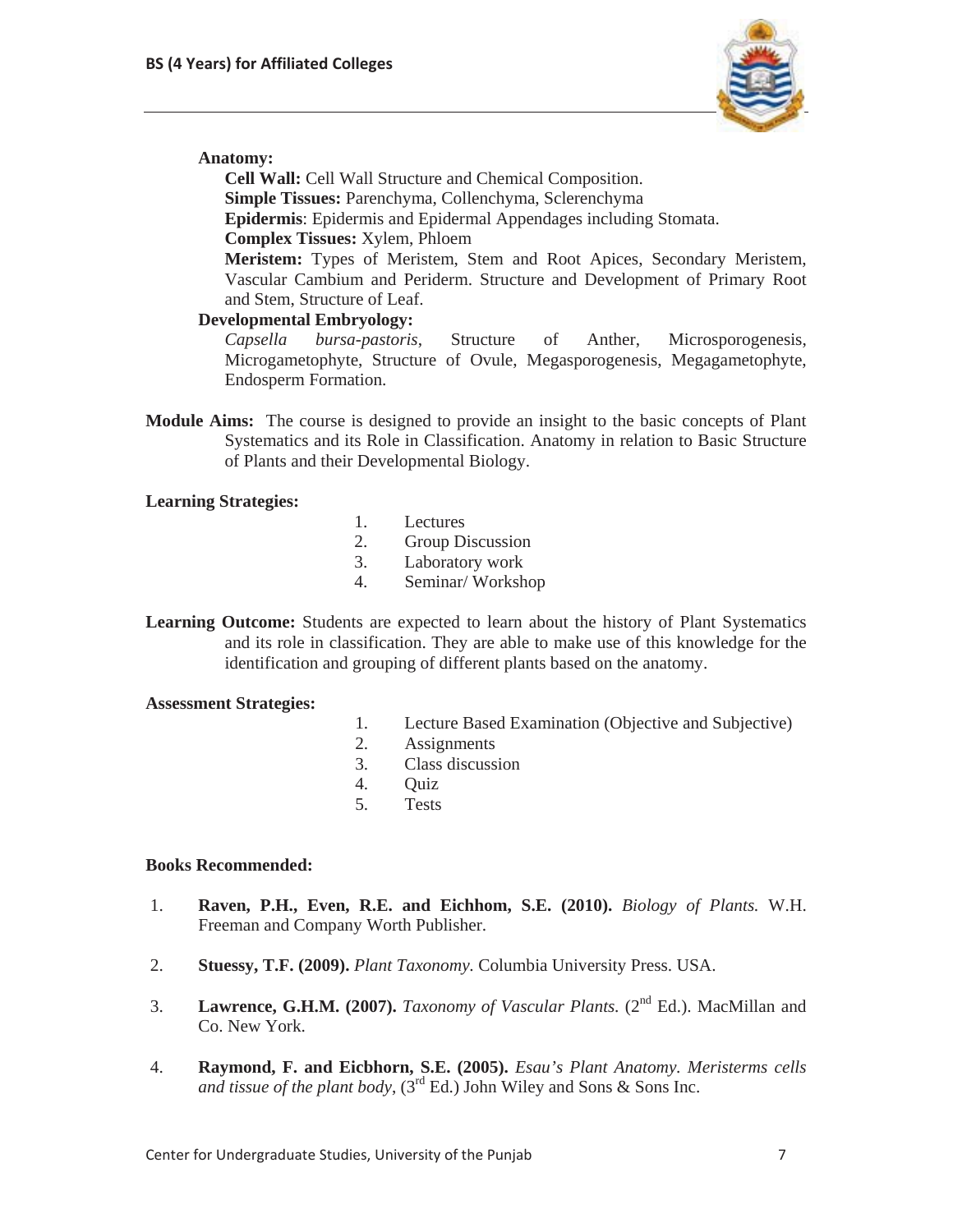

## **Anatomy:**

**Cell Wall:** Cell Wall Structure and Chemical Composition. **Simple Tissues:** Parenchyma, Collenchyma, Sclerenchyma **Epidermis**: Epidermis and Epidermal Appendages including Stomata. **Complex Tissues:** Xylem, Phloem **Meristem:** Types of Meristem, Stem and Root Apices, Secondary Meristem, Vascular Cambium and Periderm. Structure and Development of Primary Root and Stem, Structure of Leaf.

# **Developmental Embryology:**

*Capsella bursa-pastoris*, Structure of Anther, Microsporogenesis, Microgametophyte, Structure of Ovule, Megasporogenesis, Megagametophyte, Endosperm Formation.

**Module Aims:** The course is designed to provide an insight to the basic concepts of Plant Systematics and its Role in Classification. Anatomy in relation to Basic Structure of Plants and their Developmental Biology.

## **Learning Strategies:**

- 1. Lectures
- 2. Group Discussion
- 3. Laboratory work
- 4. Seminar/ Workshop

**Learning Outcome:** Students are expected to learn about the history of Plant Systematics and its role in classification. They are able to make use of this knowledge for the identification and grouping of different plants based on the anatomy.

### **Assessment Strategies:**

- 1. Lecture Based Examination (Objective and Subjective)
- 2. Assignments
- 3. Class discussion
- 4. Quiz
- 5. Tests

# **Books Recommended:**

- 1. **Raven, P.H., Even, R.E. and Eichhom, S.E. (2010).** *Biology of Plants.* W.H. Freeman and Company Worth Publisher.
- 2. **Stuessy, T.F. (2009).** *Plant Taxonomy.* Columbia University Press. USA.
- 3. **Lawrence, G.H.M. (2007).** *Taxonomy of Vascular Plants.* (2nd Ed.). MacMillan and Co. New York.
- 4. **Raymond, F. and Eicbhorn, S.E. (2005).** *Esau's Plant Anatomy. Meristerms cells and tissue of the plant body*,  $(3<sup>rd</sup> Ed.)$  John Wiley and Sons & Sons Inc.